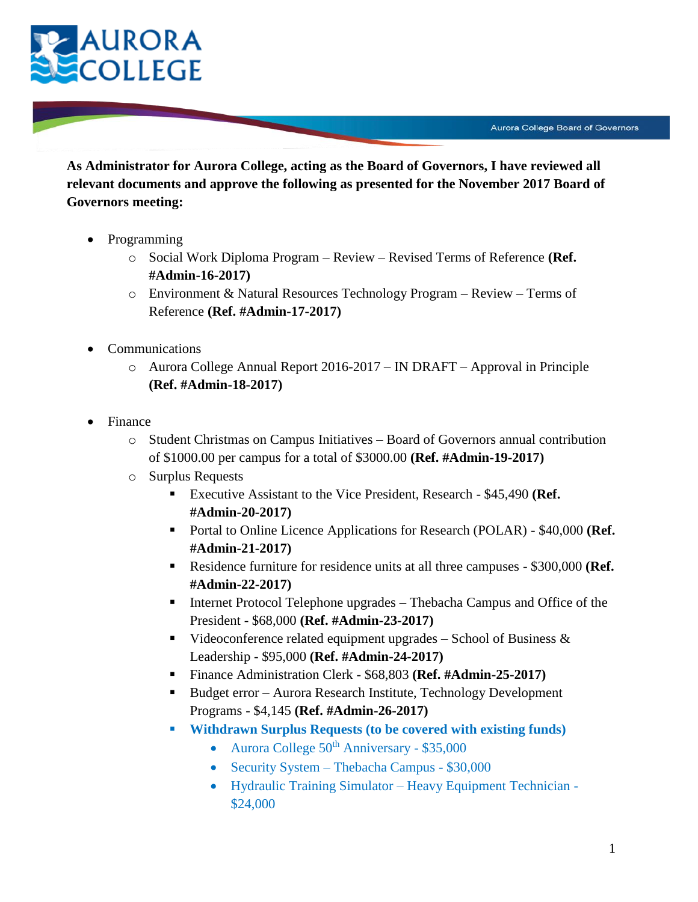

**As Administrator for Aurora College, acting as the Board of Governors, I have reviewed all relevant documents and approve the following as presented for the November 2017 Board of Governors meeting:**

- Programming
	- o Social Work Diploma Program Review Revised Terms of Reference **(Ref. #Admin-16-2017)**
	- o Environment & Natural Resources Technology Program Review Terms of Reference **(Ref. #Admin-17-2017)**
- Communications
	- o Aurora College Annual Report 2016-2017 IN DRAFT Approval in Principle **(Ref. #Admin-18-2017)**
- Finance
	- o Student Christmas on Campus Initiatives Board of Governors annual contribution of \$1000.00 per campus for a total of \$3000.00 **(Ref. #Admin-19-2017)**
	- o Surplus Requests
		- Executive Assistant to the Vice President, Research \$45,490 **(Ref. #Admin-20-2017)**
		- Portal to Online Licence Applications for Research (POLAR) \$40,000 **(Ref. #Admin-21-2017)**
		- Residence furniture for residence units at all three campuses \$300,000 **(Ref. #Admin-22-2017)**
		- Internet Protocol Telephone upgrades Thebacha Campus and Office of the President - \$68,000 **(Ref. #Admin-23-2017)**
		- Videoconference related equipment upgrades School of Business  $\&$ Leadership - \$95,000 **(Ref. #Admin-24-2017)**
		- Finance Administration Clerk \$68,803 **(Ref. #Admin-25-2017)**
		- Budget error Aurora Research Institute, Technology Development Programs - \$4,145 **(Ref. #Admin-26-2017)**
		- **Withdrawn Surplus Requests (to be covered with existing funds)**
			- Aurora College  $50<sup>th</sup>$  Anniversary \$35,000
			- Security System Thebacha Campus \$30,000
			- Hydraulic Training Simulator Heavy Equipment Technician \$24,000